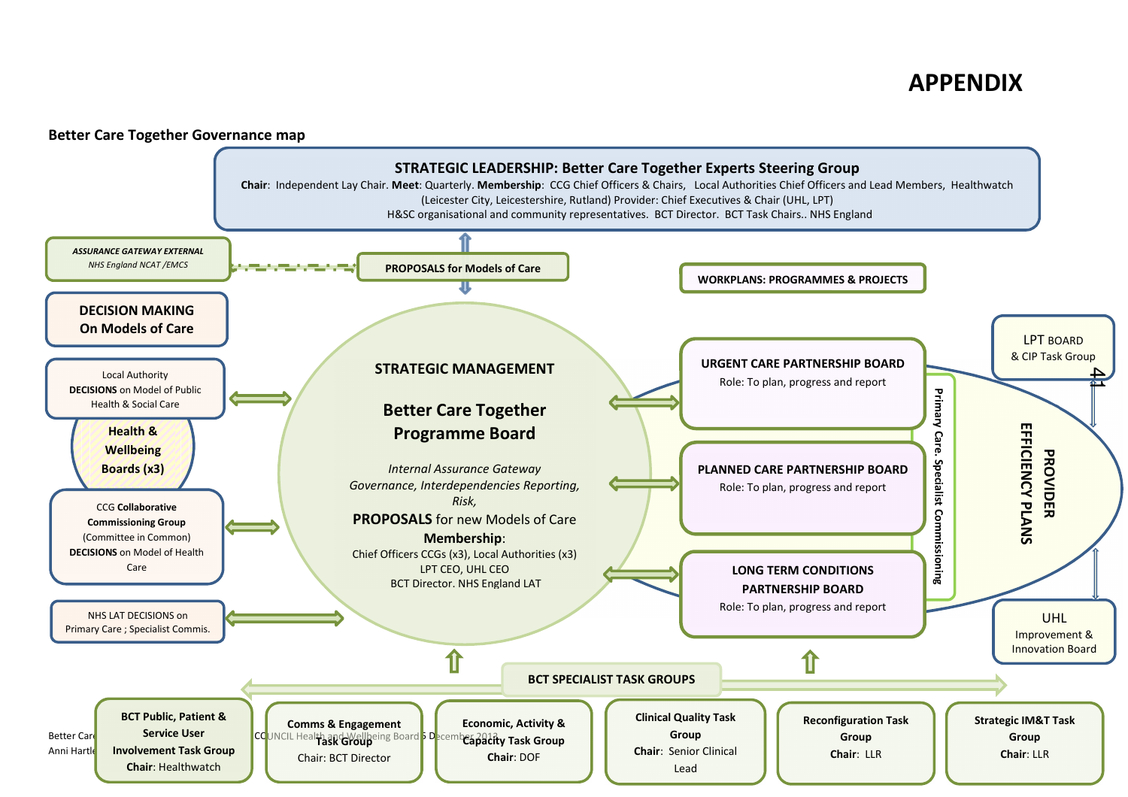

## **Better Care Together Governance map**